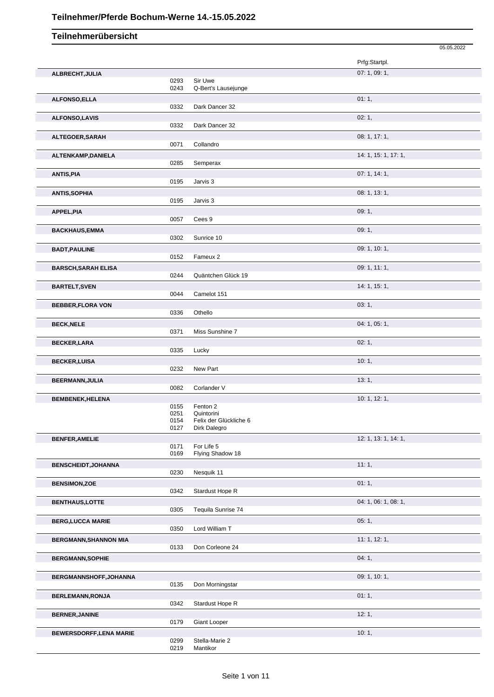|                                |              |                                      | 05.05.2022           |
|--------------------------------|--------------|--------------------------------------|----------------------|
|                                |              |                                      | Prfg:Startpl.        |
| ALBRECHT, JULIA                |              |                                      | 07: 1, 09: 1,        |
|                                | 0293         | Sir Uwe                              |                      |
|                                | 0243         | Q-Bert's Lausejunge                  |                      |
| ALFONSO, ELLA                  | 0332         |                                      | 01:1,                |
|                                |              | Dark Dancer 32                       |                      |
| <b>ALFONSO,LAVIS</b>           | 0332         | Dark Dancer 32                       | 02:1,                |
|                                |              |                                      |                      |
| ALTEGOER, SARAH                | 0071         | Collandro                            | 08: 1, 17: 1,        |
| ALTENKAMP, DANIELA             |              |                                      | 14: 1, 15: 1, 17: 1, |
|                                | 0285         | Semperax                             |                      |
| <b>ANTIS, PIA</b>              |              |                                      | 07: 1, 14: 1,        |
|                                | 0195         | Jarvis 3                             |                      |
| <b>ANTIS, SOPHIA</b>           |              |                                      | 08: 1, 13: 1,        |
|                                | 0195         | Jarvis 3                             |                      |
| APPEL, PIA                     |              |                                      | 09:1,                |
|                                | 0057         | Cees 9                               |                      |
| <b>BACKHAUS,EMMA</b>           |              |                                      | 09:1,                |
|                                | 0302         | Sunrice 10                           |                      |
| <b>BADT, PAULINE</b>           |              |                                      | 09: 1, 10: 1,        |
|                                | 0152         | Fameux 2                             |                      |
| <b>BARSCH, SARAH ELISA</b>     |              |                                      | 09: 1, 11: 1,        |
|                                | 0244         | Quäntchen Glück 19                   |                      |
| <b>BARTELT, SVEN</b>           |              |                                      | 14: 1, 15: 1,        |
|                                | 0044         | Camelot 151                          |                      |
| <b>BEBBER,FLORA VON</b>        |              |                                      | 03:1,                |
|                                | 0336         | Othello                              |                      |
| <b>BECK, NELE</b>              |              |                                      | 04: 1, 05: 1,        |
|                                | 0371         | Miss Sunshine 7                      |                      |
| <b>BECKER, LARA</b>            |              |                                      | 02:1,                |
|                                | 0335         | Lucky                                |                      |
| <b>BECKER, LUISA</b>           |              |                                      | 10:1,                |
|                                | 0232         | New Part                             |                      |
| BEERMANN, JULIA                |              |                                      | 13:1,                |
|                                | 0082         | Corlander V                          |                      |
| <b>BEMBENEK, HELENA</b>        |              |                                      | 10: 1, 12: 1,        |
|                                | 0155         | Fenton 2                             |                      |
|                                | 0251<br>0154 | Quintorini<br>Felix der Glückliche 6 |                      |
|                                | 0127         | Dirk Dalegro                         |                      |
| <b>BENFER, AMELIE</b>          |              |                                      | 12: 1, 13: 1, 14: 1, |
|                                | 0171         | For Life 5                           |                      |
|                                | 0169         | Flying Shadow 18                     |                      |
| <b>BENSCHEIDT, JOHANNA</b>     |              |                                      | 11:1,                |
|                                | 0230         | Nesquik 11                           |                      |
| <b>BENSIMON,ZOE</b>            |              |                                      | 01:1,                |
|                                | 0342         | Stardust Hope R                      |                      |
| <b>BENTHAUS,LOTTE</b>          |              |                                      | 04: 1, 06: 1, 08: 1, |
|                                | 0305         | Tequila Sunrise 74                   |                      |
| <b>BERG,LUCCA MARIE</b>        |              |                                      | 05:1,                |
|                                | 0350         | Lord William T                       |                      |
| <b>BERGMANN, SHANNON MIA</b>   | 0133         | Don Corleone 24                      | 11:1, 12:1,          |
|                                |              |                                      |                      |
| <b>BERGMANN, SOPHIE</b>        |              |                                      | 04:1,                |
|                                |              |                                      |                      |
| BERGMANNSHOFF, JOHANNA         | 0135         | Don Morningstar                      | 09: 1, 10: 1,        |
|                                |              |                                      |                      |
| BERLEMANN, RONJA               | 0342         | Stardust Hope R                      | 01:1,                |
|                                |              |                                      |                      |
| <b>BERNER, JANINE</b>          | 0179         | Giant Looper                         | 12:1,                |
|                                |              |                                      |                      |
| <b>BEWERSDORFF, LENA MARIE</b> | 0299         | Stella-Marie 2                       | 10:1,                |
|                                | 0219         | Mantikor                             |                      |
|                                |              |                                      |                      |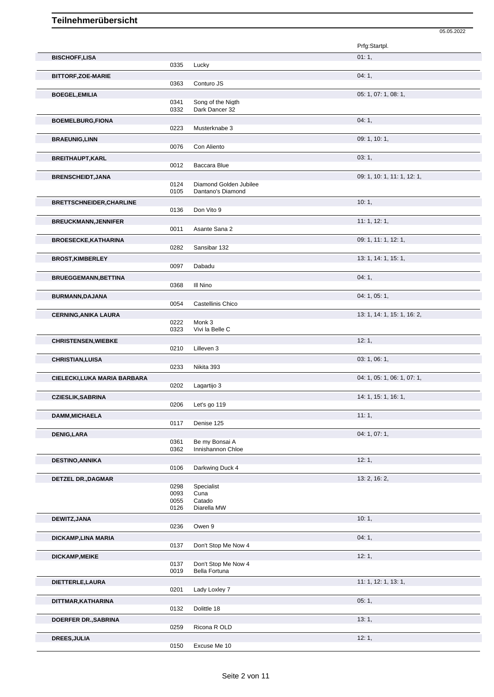|                                 |              |                        | 05.05.2022                  |
|---------------------------------|--------------|------------------------|-----------------------------|
|                                 |              |                        | Prfg:Startpl.               |
| <b>BISCHOFF,LISA</b>            |              |                        | 01:1,                       |
|                                 | 0335         | Lucky                  |                             |
| <b>BITTORF, ZOE-MARIE</b>       |              |                        | 04:1,                       |
|                                 | 0363         | Conturo JS             |                             |
| <b>BOEGEL, EMILIA</b>           |              |                        | 05: 1, 07: 1, 08: 1,        |
|                                 | 0341         | Song of the Nigth      |                             |
|                                 | 0332         | Dark Dancer 32         |                             |
| <b>BOEMELBURG, FIONA</b>        | 0223         | Musterknabe 3          | 04:1,                       |
|                                 |              |                        | 09: 1, 10: 1,               |
| <b>BRAEUNIG, LINN</b>           | 0076         | Con Aliento            |                             |
| <b>BREITHAUPT,KARL</b>          |              |                        | 03:1,                       |
|                                 | 0012         | Baccara Blue           |                             |
| <b>BRENSCHEIDT, JANA</b>        |              |                        | 09: 1, 10: 1, 11: 1, 12: 1, |
|                                 | 0124         | Diamond Golden Jubilee |                             |
|                                 | 0105         | Dantano's Diamond      |                             |
| <b>BRETTSCHNEIDER, CHARLINE</b> |              |                        | 10:1,                       |
|                                 | 0136         | Don Vito 9             |                             |
| <b>BREUCKMANN, JENNIFER</b>     |              |                        | 11:1, 12:1,                 |
|                                 | 0011         | Asante Sana 2          |                             |
| <b>BROESECKE, KATHARINA</b>     | 0282         |                        | 09: 1, 11: 1, 12: 1,        |
|                                 |              | Sansibar 132           |                             |
| <b>BROST, KIMBERLEY</b>         | 0097         | Dabadu                 | 13: 1, 14: 1, 15: 1,        |
|                                 |              |                        | 04:1,                       |
| <b>BRUEGGEMANN, BETTINA</b>     | 0368         | III Nino               |                             |
| <b>BURMANN, DAJANA</b>          |              |                        | 04: 1, 05: 1,               |
|                                 | 0054         | Castellinis Chico      |                             |
| <b>CERNING, ANIKA LAURA</b>     |              |                        | 13: 1, 14: 1, 15: 1, 16: 2, |
|                                 | 0222         | Monk 3                 |                             |
|                                 | 0323         | Vivi la Belle C        |                             |
| <b>CHRISTENSEN, WIEBKE</b>      |              |                        | 12:1,                       |
|                                 | 0210         | Lilleven 3             |                             |
| <b>CHRISTIAN, LUISA</b>         |              |                        | 03: 1, 06: 1,               |
|                                 | 0233         | Nikita 393             |                             |
| CIELECKI,LUKA MARIA BARBARA     | 0202         | Lagartijo 3            | 04: 1, 05: 1, 06: 1, 07: 1, |
|                                 |              |                        | 14: 1, 15: 1, 16: 1,        |
| <b>CZIESLIK, SABRINA</b>        | 0206         | Let's go 119           |                             |
| <b>DAMM, MICHAELA</b>           |              |                        | 11:1,                       |
|                                 | 0117         | Denise 125             |                             |
| <b>DENIG,LARA</b>               |              |                        | 04: 1, 07: 1,               |
|                                 | 0361         | Be my Bonsai A         |                             |
|                                 | 0362         | Innishannon Chloe      |                             |
| <b>DESTINO, ANNIKA</b>          |              |                        | 12:1,                       |
|                                 | 0106         | Darkwing Duck 4        |                             |
| <b>DETZEL DR., DAGMAR</b>       |              |                        | 13: 2, 16: 2,               |
|                                 | 0298<br>0093 | Specialist<br>Cuna     |                             |
|                                 | 0055         | Catado                 |                             |
|                                 | 0126         | Diarella MW            |                             |
| DEWITZ, JANA                    |              |                        | 10:1,                       |
|                                 | 0236         | Owen 9                 |                             |
| DICKAMP, LINA MARIA             |              |                        | 04:1,                       |
|                                 | 0137         | Don't Stop Me Now 4    |                             |
| DICKAMP, MEIKE                  |              | Don't Stop Me Now 4    | 12:1,                       |
|                                 | 0137<br>0019 | Bella Fortuna          |                             |
| DIETTERLE, LAURA                |              |                        | 11: 1, 12: 1, 13: 1,        |
|                                 | 0201         | Lady Loxley 7          |                             |
| DITTMAR, KATHARINA              |              |                        | 05:1,                       |
|                                 | 0132         | Dolittle 18            |                             |
| DOERFER DR., SABRINA            |              |                        | 13:1,                       |
|                                 | 0259         | Ricona R OLD           |                             |
| <b>DREES, JULIA</b>             |              |                        | 12:1,                       |
|                                 | 0150         | Excuse Me 10           |                             |

Excuse Me 10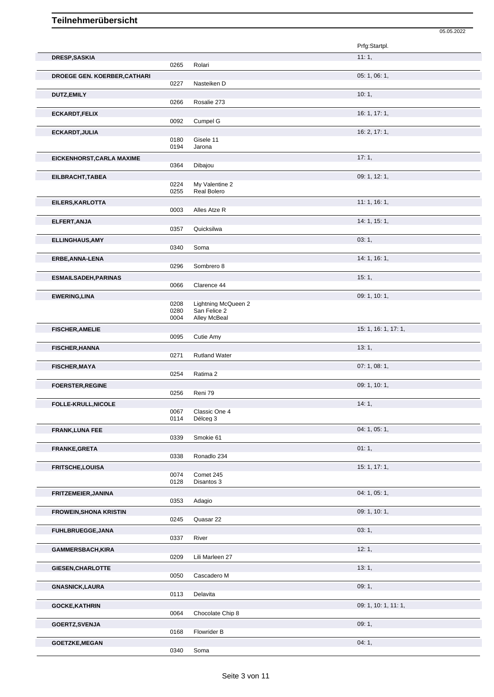|                                     |              |                                            | Prfg:Startpl.        |
|-------------------------------------|--------------|--------------------------------------------|----------------------|
| <b>DRESP, SASKIA</b>                |              |                                            | 11:1,                |
|                                     | 0265         | Rolari                                     |                      |
| <b>DROEGE GEN. KOERBER, CATHARI</b> | 0227         | Nasteiken D                                | 05: 1, 06: 1,        |
| <b>DUTZ,EMILY</b>                   |              |                                            | 10:1,                |
|                                     | 0266         | Rosalie 273                                |                      |
| <b>ECKARDT,FELIX</b>                |              |                                            | 16: 1, 17: 1,        |
|                                     | 0092         | Cumpel G                                   |                      |
| ECKARDT, JULIA                      | 0180         | Gisele 11                                  | 16: 2, 17: 1,        |
|                                     | 0194         | Jarona                                     |                      |
| EICKENHORST, CARLA MAXIME           |              |                                            | 17:1,                |
|                                     | 0364         | Dibajou                                    | 09: 1, 12: 1,        |
| EILBRACHT, TABEA                    | 0224         | My Valentine 2                             |                      |
|                                     | 0255         | Real Bolero                                |                      |
| EILERS, KARLOTTA                    | 0003         | Alles Atze R                               | 11:1, 16:1,          |
| ELFERT, ANJA                        |              |                                            | 14: 1, 15: 1,        |
|                                     | 0357         | Quicksilwa                                 |                      |
| <b>ELLINGHAUS, AMY</b>              |              |                                            | 03:1,                |
|                                     | 0340         | Soma                                       |                      |
| ERBE, ANNA-LENA                     | 0296         | Sombrero 8                                 | 14: 1, 16: 1,        |
|                                     |              |                                            | 15:1,                |
| <b>ESMAILSADEH, PARINAS</b>         | 0066         | Clarence 44                                |                      |
| <b>EWERING, LINA</b>                |              |                                            | 09: 1, 10: 1,        |
|                                     | 0208<br>0280 | <b>Lightning McQueen 2</b><br>San Felice 2 |                      |
|                                     | 0004         | Alley McBeal                               |                      |
| <b>FISCHER, AMELIE</b>              |              |                                            | 15: 1, 16: 1, 17: 1, |
|                                     | 0095         | Cutie Amy                                  |                      |
| <b>FISCHER, HANNA</b>               | 0271         | <b>Rutland Water</b>                       | 13:1,                |
| <b>FISCHER, MAYA</b>                |              |                                            | 07:1,08:1,           |
|                                     | 0254         | Ratima 2                                   |                      |
| <b>FOERSTER, REGINE</b>             |              |                                            | 09: 1, 10: 1,        |
|                                     | 0256         | Reni 79                                    |                      |
| <b>FOLLE-KRULL, NICOLE</b>          | 0067         | Classic One 4                              | 14:1,                |
|                                     | 0114         | Délceg 3                                   |                      |
| <b>FRANK, LUNA FEE</b>              |              | Smokie 61                                  | 04: 1, 05: 1,        |
|                                     | 0339         |                                            | 01:1,                |
| FRANKE, GRETA                       | 0338         | Ronadlo 234                                |                      |
| <b>FRITSCHE,LOUISA</b>              |              |                                            | 15: 1, 17: 1,        |
|                                     | 0074<br>0128 | Comet 245<br>Disantos 3                    |                      |
| FRITZEMEIER, JANINA                 |              |                                            | 04: 1, 05: 1,        |
|                                     | 0353         | Adagio                                     |                      |
| <b>FROWEIN, SHONA KRISTIN</b>       |              |                                            | 09: 1, 10: 1,        |
|                                     | 0245         | Quasar 22                                  |                      |
| <b>FUHLBRUEGGE, JANA</b>            | 0337         | River                                      | 03:1,                |
| GAMMERSBACH, KIRA                   |              |                                            | 12:1,                |
|                                     | 0209         | Lili Marleen 27                            |                      |
|                                     |              |                                            |                      |
| GIESEN, CHARLOTTE                   |              |                                            | 13:1,                |
|                                     | 0050         | Cascadero M                                |                      |
| <b>GNASNICK,LAURA</b>               |              |                                            | 09:1,                |
|                                     | 0113         | Delavita                                   |                      |
| <b>GOCKE, KATHRIN</b>               | 0064         | Chocolate Chip 8                           | 09: 1, 10: 1, 11: 1, |
| <b>GOERTZ, SVENJA</b>               | 0168         | Flowrider B                                | 09:1,                |

05.05.2022

**GOETZKE, MEGAN** 04: 1, 0340 Soma Soma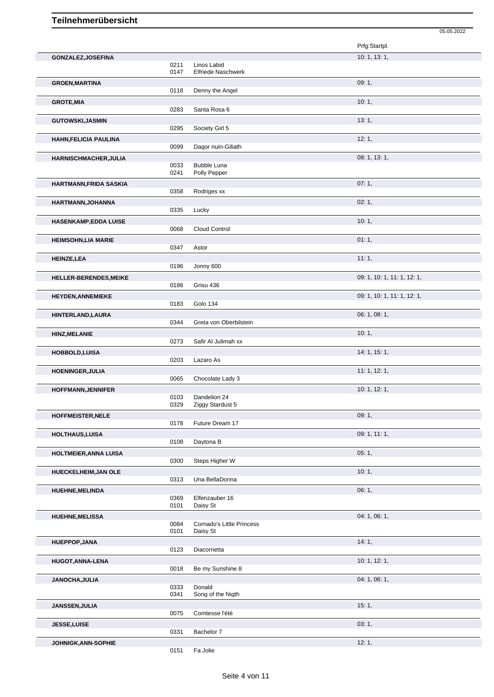|                              |              |                                          | Prfg:Startpl.               |
|------------------------------|--------------|------------------------------------------|-----------------------------|
| GONZALEZ, JOSEFINA           |              |                                          | 10: 1, 13: 1,               |
|                              | 0211<br>0147 | Linos Labid<br><b>Elfriede Naschwerk</b> |                             |
| <b>GROEN, MARTINA</b>        |              |                                          | 09:1,                       |
|                              | 0118         | Denny the Angel                          |                             |
| <b>GROTE, MIA</b>            | 0283         | Santa Rosa 6                             | 10:1,                       |
| <b>GUTOWSKI, JASMIN</b>      |              |                                          | 13:1,                       |
|                              | 0295         | Society Girl 5                           |                             |
| <b>HAHN, FELICIA PAULINA</b> | 0099         | Dagor nuin-Giliath                       | 12:1,                       |
| <b>HARNISCHMACHER, JULIA</b> |              |                                          | 08: 1, 13: 1,               |
|                              | 0033<br>0241 | <b>Bubble Luna</b><br>Polly Pepper       |                             |
| HARTMANN, FRIDA SASKIA       |              |                                          | 07:1,                       |
|                              | 0358         | Rodriges xx                              |                             |
| HARTMANN, JOHANNA            |              |                                          | 02:1,                       |
|                              | 0335         | Lucky                                    |                             |
| <b>HASENKAMP,EDDA LUISE</b>  |              |                                          | 10:1,                       |
|                              | 0068         | Cloud Control                            |                             |
| <b>HEIMSOHN, LIA MARIE</b>   | 0347         | Astor                                    | 01:1,                       |
| <b>HEINZE,LEA</b>            |              |                                          | 11:1,                       |
|                              | 0196         | Jonny 600                                |                             |
| HELLER-BERENDES, MEIKE       |              |                                          | 09: 1, 10: 1, 11: 1, 12: 1, |
|                              | 0186         | Grisu 436                                |                             |
| <b>HEYDEN, ANNEMIEKE</b>     |              |                                          | 09: 1, 10: 1, 11: 1, 12: 1, |
|                              | 0183         | Golo 134                                 |                             |
| HINTERLAND, LAURA            | 0344         | Greta von Oberbilstein                   | 06: 1, 08: 1,               |
| <b>HINZ, MELANIE</b>         |              |                                          | 10:1,                       |
|                              | 0273         | Safir Al Julimah xx                      |                             |
| <b>HOBBOLD,LUISA</b>         |              |                                          | 14: 1, 15: 1,               |
|                              | 0203         | Lazaro As                                |                             |
| <b>HOENINGER, JULIA</b>      |              |                                          | 11:1, 12:1,                 |
|                              | 0065         | Chocolate Lady 3                         |                             |
| <b>HOFFMANN, JENNIFER</b>    | 0103         | Dandelion 24                             | 10: 1, 12: 1,               |
|                              | 0329         | Ziggy Stardust 5                         |                             |
| HOFFMEISTER, NELE            |              |                                          | 09:1,                       |
|                              | 0178         | Future Dream 17                          |                             |
| HOLTHAUS, LUISA              | 0108         | Daytona B                                | 09: 1, 11: 1,               |
|                              |              |                                          | 05:1,                       |
| HOLTMEIER, ANNA LUISA        | 0300         | Steps Higher W                           |                             |
| HUECKELHEIM, JAN OLE         |              |                                          | 10:1,                       |
|                              | 0313         | Una BellaDonna                           |                             |
| HUEHNE, MELINDA              |              |                                          | 06:1,                       |
|                              | 0369<br>0101 | Elfenzauber 16<br>Daisy St               |                             |
| <b>HUEHNE, MELISSA</b>       |              |                                          | 04: 1, 06: 1,               |
|                              | 0084         | Cornado's Little Princess                |                             |
|                              | 0101         | Daisy St                                 |                             |
| HUEPPOP, JANA                | 0123         | Diacornetta                              | 14:1,                       |
|                              |              |                                          |                             |
| <b>HUGOT, ANNA-LENA</b>      | 0018         | Be my Sunshine 8                         | 10: 1, 12: 1,               |
| JANOCHA, JULIA               |              |                                          | 04: 1, 06: 1,               |
|                              | 0333         | Donald                                   |                             |
|                              | 0341         | Song of the Nigth                        |                             |
| JANSSEN, JULIA               |              |                                          | 15:1,                       |
|                              | 0075         | Comtesse l'été                           |                             |
| JESSE, LUISE                 | 0331         | Bachelor 7                               | 03:1,                       |
| JOHNIGK, ANN-SOPHIE          |              |                                          | 12:1,                       |
|                              | 0151         | Fa Jolie                                 |                             |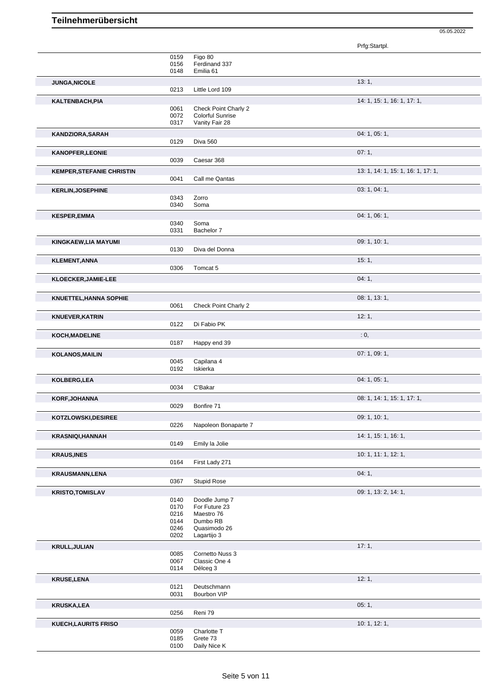|                                  |              |                                | Prfg:Startpl.                      |
|----------------------------------|--------------|--------------------------------|------------------------------------|
|                                  | 0159         | Figo 80                        |                                    |
|                                  | 0156<br>0148 | Ferdinand 337<br>Emilia 61     |                                    |
| JUNGA, NICOLE                    |              |                                | 13:1,                              |
|                                  | 0213         | Little Lord 109                |                                    |
| KALTENBACH, PIA                  |              |                                | 14: 1, 15: 1, 16: 1, 17: 1,        |
|                                  | 0061         | Check Point Charly 2           |                                    |
|                                  | 0072         | Colorful Sunrise               |                                    |
|                                  | 0317         | Vanity Fair 28                 |                                    |
| KANDZIORA, SARAH                 |              |                                | 04: 1, 05: 1,                      |
|                                  | 0129         | Diva 560                       |                                    |
| <b>KANOPFER,LEONIE</b>           |              |                                | 07:1,                              |
|                                  | 0039         | Caesar 368                     |                                    |
| <b>KEMPER, STEFANIE CHRISTIN</b> |              |                                | 13: 1, 14: 1, 15: 1, 16: 1, 17: 1, |
|                                  | 0041         | Call me Qantas                 |                                    |
| <b>KERLIN, JOSEPHINE</b>         |              |                                | 03: 1, 04: 1,                      |
|                                  | 0343         | Zorro                          |                                    |
|                                  | 0340         | Soma                           |                                    |
| <b>KESPER,EMMA</b>               |              |                                | 04: 1, 06: 1,                      |
|                                  | 0340         | Soma                           |                                    |
|                                  | 0331         | Bachelor 7                     |                                    |
| KINGKAEW,LIA MAYUMI              |              |                                | 09: 1, 10: 1,                      |
|                                  | 0130         | Diva del Donna                 |                                    |
| <b>KLEMENT, ANNA</b>             |              |                                | 15:1,                              |
|                                  | 0306         | Tomcat 5                       |                                    |
| KLOECKER, JAMIE-LEE              |              |                                | 04:1,                              |
|                                  |              |                                |                                    |
| <b>KNUETTEL, HANNA SOPHIE</b>    |              |                                | 08: 1, 13: 1,                      |
|                                  | 0061         | Check Point Charly 2           |                                    |
| <b>KNUEVER, KATRIN</b>           |              |                                | 12:1,                              |
|                                  | 0122         | Di Fabio PK                    |                                    |
| KOCH, MADELINE                   |              |                                | : 0,                               |
|                                  | 0187         | Happy end 39                   |                                    |
| <b>KOLANOS, MAILIN</b>           |              |                                | 07: 1, 09: 1,                      |
|                                  | 0045         | Capilana 4                     |                                    |
|                                  | 0192         | Iskierka                       |                                    |
| KOLBERG, LEA                     |              |                                | 04: 1, 05: 1,                      |
|                                  | 0034         | C'Bakar                        |                                    |
| KORF, JOHANNA                    |              |                                | 08: 1, 14: 1, 15: 1, 17: 1,        |
|                                  | 0029         | Bonfire 71                     |                                    |
| KOTZLOWSKI, DESIREE              |              |                                | 09: 1, 10: 1,                      |
|                                  | 0226         | Napoleon Bonaparte 7           |                                    |
|                                  |              |                                | 14: 1, 15: 1, 16: 1,               |
| <b>KRASNIQI,HANNAH</b>           | 0149         | Emily la Jolie                 |                                    |
| <b>KRAUS, INES</b>               |              |                                | 10: 1, 11: 1, 12: 1,               |
|                                  | 0164         | First Lady 271                 |                                    |
|                                  |              |                                |                                    |
| <b>KRAUSMANN,LENA</b>            | 0367         | <b>Stupid Rose</b>             | 04:1,                              |
|                                  |              |                                |                                    |
| <b>KRISTO, TOMISLAV</b>          |              |                                | 09: 1, 13: 2, 14: 1,               |
|                                  | 0140<br>0170 | Doodle Jump 7<br>For Future 23 |                                    |
|                                  | 0216         | Maestro 76                     |                                    |
|                                  | 0144         | Dumbo RB                       |                                    |
|                                  | 0246         | Quasimodo 26                   |                                    |
|                                  | 0202         | Lagartijo 3                    |                                    |
| <b>KRULL, JULIAN</b>             |              |                                | 17:1,                              |
|                                  | 0085         | Cornetto Nuss 3                |                                    |
|                                  | 0067<br>0114 | Classic One 4<br>Délceg 3      |                                    |
|                                  |              |                                |                                    |
| <b>KRUSE,LENA</b>                |              |                                | 12:1,                              |
|                                  | 0121<br>0031 | Deutschmann<br>Bourbon VIP     |                                    |
|                                  |              |                                |                                    |
| <b>KRUSKA,LEA</b>                | 0256         | Reni 79                        | 05:1,                              |
|                                  |              |                                |                                    |
| <b>KUECH, LAURITS FRISO</b>      | 0059         | Charlotte T                    | 10: 1, 12: 1,                      |
|                                  | 0185         | Grete 73                       |                                    |
|                                  | 0100         | Daily Nice K                   |                                    |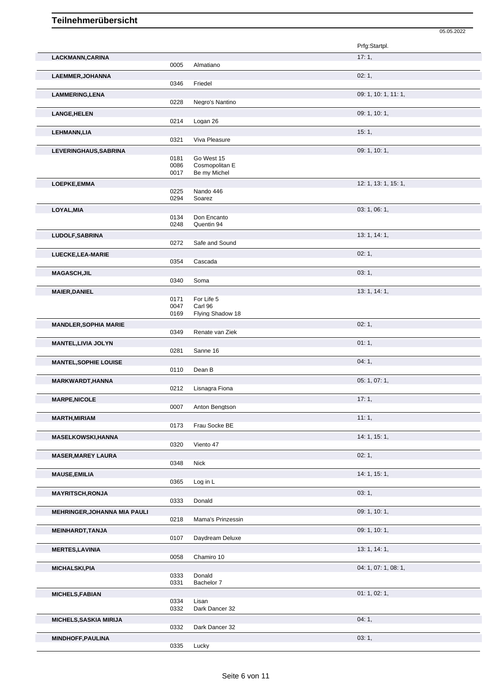|                                     |              |                                | Prfg:Startpl.        |
|-------------------------------------|--------------|--------------------------------|----------------------|
| LACKMANN, CARINA                    |              |                                | 17:1,                |
|                                     | 0005         | Almatiano                      |                      |
| LAEMMER, JOHANNA                    | 0346         |                                | 02:1,                |
|                                     |              | Friedel                        |                      |
| LAMMERING, LENA                     | 0228         | Negro's Nantino                | 09: 1, 10: 1, 11: 1, |
| <b>LANGE, HELEN</b>                 |              |                                | 09: 1, 10: 1,        |
|                                     | 0214         | Logan 26                       |                      |
| <b>LEHMANN,LIA</b>                  |              |                                | 15:1,                |
|                                     | 0321         | Viva Pleasure                  |                      |
| LEVERINGHAUS, SABRINA               |              |                                | 09: 1, 10: 1,        |
|                                     | 0181         | Go West 15                     |                      |
|                                     | 0086<br>0017 | Cosmopolitan E<br>Be my Michel |                      |
| LOEPKE, EMMA                        |              |                                | 12: 1, 13: 1, 15: 1, |
|                                     | 0225         | Nando 446                      |                      |
|                                     | 0294         | Soarez                         |                      |
| LOYAL, MIA                          |              |                                | 03: 1, 06: 1,        |
|                                     | 0134<br>0248 | Don Encanto<br>Quentin 94      |                      |
|                                     |              |                                |                      |
| LUDOLF, SABRINA                     | 0272         | Safe and Sound                 | 13: 1, 14: 1,        |
| LUECKE, LEA-MARIE                   |              |                                | 02:1,                |
|                                     | 0354         | Cascada                        |                      |
| <b>MAGASCH, JIL</b>                 |              |                                | 03:1,                |
|                                     | 0340         | Soma                           |                      |
| <b>MAIER, DANIEL</b>                |              |                                | 13: 1, 14: 1,        |
|                                     | 0171         | For Life 5                     |                      |
|                                     | 0047<br>0169 | Carl 96<br>Flying Shadow 18    |                      |
|                                     |              |                                | 02:1,                |
| <b>MANDLER, SOPHIA MARIE</b>        | 0349         | Renate van Ziek                |                      |
| <b>MANTEL, LIVIA JOLYN</b>          |              |                                | 01:1,                |
|                                     | 0281         | Sanne 16                       |                      |
| <b>MANTEL, SOPHIE LOUISE</b>        |              |                                | 04:1,                |
|                                     | 0110         | Dean B                         |                      |
| <b>MARKWARDT, HANNA</b>             |              |                                | 05: 1, 07: 1,        |
|                                     | 0212         | Lisnagra Fiona                 |                      |
| <b>MARPE, NICOLE</b>                |              |                                | 17:1,                |
|                                     | 0007         | Anton Bengtson                 |                      |
| <b>MARTH, MIRIAM</b>                | 0173         | Frau Socke BE                  | 11:1,                |
|                                     |              |                                |                      |
| <b>MASELKOWSKI, HANNA</b>           | 0320         | Viento 47                      | 14: 1, 15: 1,        |
| <b>MASER, MAREY LAURA</b>           |              |                                | 02:1,                |
|                                     | 0348         | Nick                           |                      |
| <b>MAUSE, EMILIA</b>                |              |                                | 14: 1, 15: 1,        |
|                                     | 0365         | Log in L                       |                      |
| <b>MAYRITSCH, RONJA</b>             |              |                                | 03:1,                |
|                                     | 0333         | Donald                         |                      |
| <b>MEHRINGER, JOHANNA MIA PAULI</b> |              |                                | 09: 1, 10: 1,        |
|                                     | 0218         | Mama's Prinzessin              |                      |
| <b>MEINHARDT, TANJA</b>             |              |                                | 09: 1, 10: 1,        |
|                                     | 0107         | Daydream Deluxe                |                      |
| <b>MERTES, LAVINIA</b>              | 0058         | Chamiro 10                     | 13: 1, 14: 1,        |
|                                     |              |                                |                      |
| <b>MICHALSKI, PIA</b>               | 0333         | Donald                         | 04: 1, 07: 1, 08: 1, |
|                                     | 0331         | Bachelor 7                     |                      |
| <b>MICHELS, FABIAN</b>              |              |                                | 01: 1, 02: 1,        |
|                                     | 0334         | Lisan                          |                      |
|                                     | 0332         | Dark Dancer 32                 |                      |
| <b>MICHELS, SASKIA MIRIJA</b>       |              |                                | 04:1,                |
|                                     | 0332         | Dark Dancer 32                 |                      |
| <b>MINDHOFF, PAULINA</b>            | 0335         |                                | 03: 1,               |
|                                     |              | Lucky                          |                      |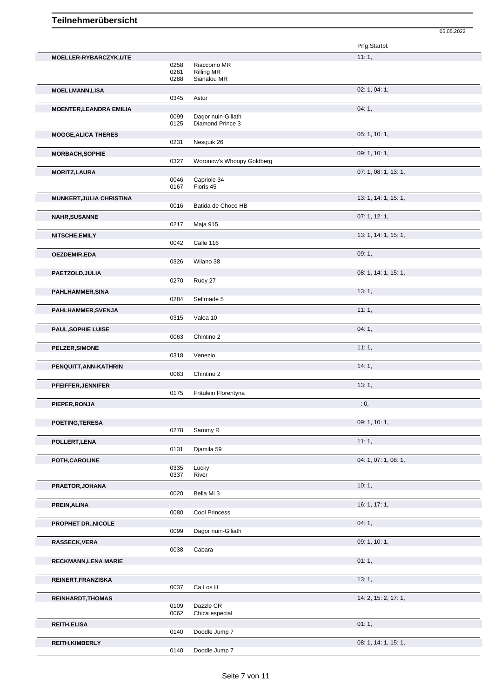|                                 |                      |                                                 | Prfg:Startpl.        |
|---------------------------------|----------------------|-------------------------------------------------|----------------------|
| MOELLER-RYBARCZYK,UTE           | 0258<br>0261<br>0288 | Riaccomo MR<br><b>Rilling MR</b><br>Sianalou MR | 11:1,                |
| <b>MOELLMANN,LISA</b>           | 0345                 | Astor                                           | 02: 1, 04: 1,        |
| <b>MOENTER, LEANDRA EMILIA</b>  | 0099<br>0125         | Dagor nuin-Giliath<br>Diamond Prince 3          | 04:1,                |
| <b>MOGGE, ALICA THERES</b>      | 0231                 | Nesquik 26                                      | 05: 1, 10: 1,        |
| MORBACH, SOPHIE                 | 0327                 | Woronow's Whoopy Goldberg                       | 09: 1, 10: 1,        |
| <b>MORITZ, LAURA</b>            | 0046<br>0167         | Capriole 34<br>Floris 45                        | 07: 1, 08: 1, 13: 1, |
| <b>MUNKERT, JULIA CHRISTINA</b> | 0016                 | Batida de Choco HB                              | 13: 1, 14: 1, 15: 1, |
| <b>NAHR, SUSANNE</b>            |                      |                                                 | 07:1, 12:1,          |
| NITSCHE, EMILY                  | 0217<br>0042         | Maja 915<br>Calle 116                           | 13: 1, 14: 1, 15: 1, |
| <b>OEZDEMIR,EDA</b>             | 0326                 | Wilano 38                                       | 09:1,                |
| PAETZOLD, JULIA                 | 0270                 | Rudy 27                                         | 08: 1, 14: 1, 15: 1, |
| PAHLHAMMER, SINA                | 0284                 | Selfmade 5                                      | 13:1,                |
| PAHLHAMMER, SVENJA              | 0315                 | Valea 10                                        | 11:1,                |
| <b>PAUL, SOPHIE LUISE</b>       | 0063                 | Chintino 2                                      | 04:1,                |
| PELZER, SIMONE                  | 0318                 | Venezio                                         | 11:1,                |
| PENQUITT, ANN-KATHRIN           | 0063                 | Chintino 2                                      | 14:1,                |
| PFEIFFER, JENNIFER              | 0175                 | Fräulein Florentyna                             | 13:1,                |
| PIEPER, RONJA                   |                      |                                                 | : 0,                 |
| POETING, TERESA                 | 0278                 | Sammy R                                         | 09: 1, 10: 1,        |
| POLLERT, LENA                   | 0131                 | Djamila 59                                      | 11:1,                |
| POTH, CAROLINE                  | 0335<br>0337         | Lucky<br>River                                  | 04: 1, 07: 1, 08: 1, |
| PRAETOR, JOHANA                 | 0020                 | Bella Mi 3                                      | 10:1,                |
| PREIN, ALINA                    | 0080                 | Cool Princess                                   | 16: 1, 17: 1,        |
| PROPHET DR., NICOLE             | 0099                 | Dagor nuin-Giliath                              | 04:1,                |
| RASSECK, VERA                   | 0038                 | Cabara                                          | 09: 1, 10: 1,        |
| <b>RECKMANN, LENA MARIE</b>     |                      |                                                 | 01:1,                |
| REINERT, FRANZISKA              | 0037                 | Ca Los H                                        | 13:1,                |
| <b>REINHARDT, THOMAS</b>        | 0109<br>0062         | Dazzle CR<br>Chica especial                     | 14: 2, 15: 2, 17: 1, |
| <b>REITH, ELISA</b>             | 0140                 | Doodle Jump 7                                   | 01:1,                |
| <b>REITH, KIMBERLY</b>          | 0140                 | Doodle Jump 7                                   | 08: 1, 14: 1, 15: 1, |

05.05.2022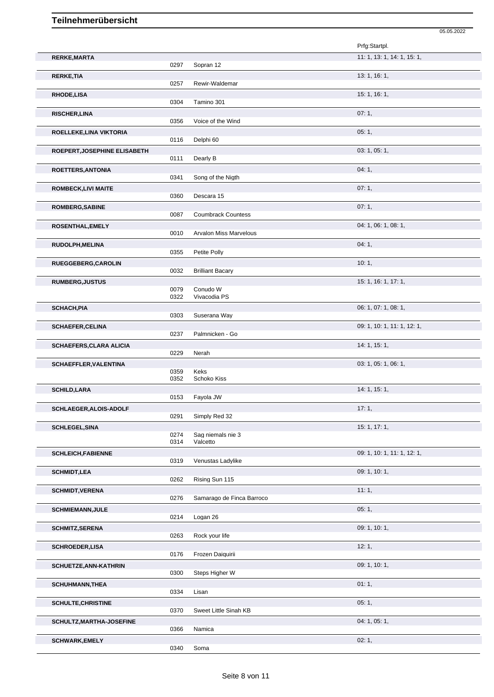|                                |              |                               | Prfg:Startpl.               |
|--------------------------------|--------------|-------------------------------|-----------------------------|
| <b>RERKE, MARTA</b>            | 0297         | Sopran 12                     | 11: 1, 13: 1, 14: 1, 15: 1, |
| <b>RERKE, TIA</b>              | 0257         | Rewir-Waldemar                | 13: 1, 16: 1,               |
| <b>RHODE,LISA</b>              | 0304         | Tamino 301                    | 15: 1, 16: 1,               |
| <b>RISCHER, LINA</b>           | 0356         | Voice of the Wind             | 07:1,                       |
| ROELLEKE, LINA VIKTORIA        |              |                               | 05:1,                       |
|                                | 0116         | Delphi 60                     | 03: 1, 05: 1,               |
| ROEPERT, JOSEPHINE ELISABETH   | 0111         | Dearly B                      |                             |
| ROETTERS, ANTONIA              | 0341         | Song of the Nigth             | 04:1,                       |
| <b>ROMBECK,LIVI MAITE</b>      | 0360         | Descara 15                    | 07:1,                       |
| <b>ROMBERG, SABINE</b>         |              |                               | 07:1,                       |
| ROSENTHAL, EMELY               | 0087         | <b>Coumbrack Countess</b>     | 04: 1, 06: 1, 08: 1,        |
|                                | 0010         | <b>Arvalon Miss Marvelous</b> |                             |
| RUDOLPH, MELINA                | 0355         | Petite Polly                  | 04:1,                       |
| RUEGGEBERG, CAROLIN            |              |                               | 10:1,                       |
| <b>RUMBERG, JUSTUS</b>         | 0032         | <b>Brilliant Bacary</b>       | 15: 1, 16: 1, 17: 1,        |
|                                | 0079<br>0322 | Conudo W<br>Vivacodia PS      |                             |
| <b>SCHACH, PIA</b>             | 0303         | Suserana Way                  | 06: 1, 07: 1, 08: 1,        |
| <b>SCHAEFER, CELINA</b>        | 0237         | Palmnicken - Go               | 09: 1, 10: 1, 11: 1, 12: 1, |
| <b>SCHAEFERS, CLARA ALICIA</b> |              |                               | 14: 1, 15: 1,               |
| <b>SCHAEFFLER, VALENTINA</b>   | 0229         | Nerah                         | 03: 1, 05: 1, 06: 1,        |
|                                | 0359<br>0352 | Keks<br>Schoko Kiss           |                             |
| <b>SCHILD, LARA</b>            | 0153         | Fayola JW                     | 14: 1, 15: 1,               |
| SCHLAEGER, ALOIS-ADOLF         |              |                               | 17:1,                       |
|                                | 0291         | Simply Red 32                 |                             |
| <b>SCHLEGEL, SINA</b>          | 0274         | Sag niemals nie 3             | 15: 1, 17: 1,               |
|                                | 0314         | Valcetto                      |                             |
| <b>SCHLEICH, FABIENNE</b>      | 0319         | Venustas Ladylike             | 09: 1, 10: 1, 11: 1, 12: 1, |
| <b>SCHMIDT,LEA</b>             |              |                               | 09: 1, 10: 1,               |
| <b>SCHMIDT, VERENA</b>         | 0262         | Rising Sun 115                | 11:1,                       |
|                                | 0276         | Samarago de Finca Barroco     |                             |
| <b>SCHMIEMANN, JULE</b>        | 0214         | Logan 26                      | 05:1,                       |
| <b>SCHMITZ, SERENA</b>         | 0263         | Rock your life                | 09: 1, 10: 1,               |
| <b>SCHROEDER,LISA</b>          |              |                               | 12:1,                       |
|                                | 0176         | Frozen Daiquirii              | 09: 1, 10: 1,               |
| <b>SCHUETZE, ANN-KATHRIN</b>   | 0300         | Steps Higher W                |                             |
| <b>SCHUHMANN, THEA</b>         | 0334         | Lisan                         | 01:1,                       |
| <b>SCHULTE, CHRISTINE</b>      | 0370         | Sweet Little Sinah KB         | 05:1,                       |
| SCHULTZ, MARTHA-JOSEFINE       | 0366         | Namica                        | 04: 1, 05: 1,               |
| <b>SCHWARK,EMELY</b>           | 0340         | Soma                          | 02:1,                       |
|                                |              |                               |                             |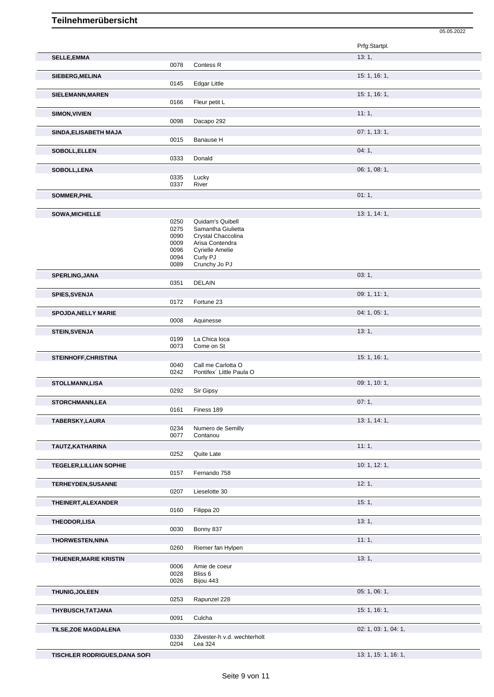|                                |              |                                                | Prfg:Startpl.        |
|--------------------------------|--------------|------------------------------------------------|----------------------|
| <b>SELLE, EMMA</b>             |              |                                                | 13:1,                |
|                                | 0078         | Contess <sub>R</sub>                           |                      |
| SIEBERG, MELINA                | 0145         | <b>Edgar Little</b>                            | 15: 1, 16: 1,        |
|                                |              |                                                |                      |
| SIELEMANN, MAREN               | 0166         | Fleur petit L                                  | 15: 1, 16: 1,        |
| <b>SIMON, VIVIEN</b>           |              |                                                | 11:1,                |
|                                | 0098         | Dacapo 292                                     |                      |
| SINDA, ELISABETH MAJA          |              |                                                | 07: 1, 13: 1,        |
|                                | 0015         | Banause H                                      |                      |
| SOBOLL, ELLEN                  |              |                                                | 04:1,                |
|                                | 0333         | Donald                                         |                      |
| SOBOLL, LENA                   |              |                                                | 06: 1, 08: 1,        |
|                                | 0335<br>0337 | Lucky<br>River                                 |                      |
| SOMMER, PHIL                   |              |                                                | 01:1,                |
|                                |              |                                                |                      |
| <b>SOWA, MICHELLE</b>          |              |                                                | 13: 1, 14: 1,        |
|                                | 0250         | Quidam's Quibell                               |                      |
|                                | 0275<br>0090 | Samantha Giulietta<br>Crystal Chaccolina       |                      |
|                                | 0009         | Arisa Contendra                                |                      |
|                                | 0096         | <b>Cyrielle Amelie</b>                         |                      |
|                                | 0094<br>0089 | Curly PJ<br>Crunchy Jo PJ                      |                      |
|                                |              |                                                |                      |
| <b>SPERLING, JANA</b>          | 0351         | <b>DELAIN</b>                                  | 03:1,                |
| <b>SPIES, SVENJA</b>           |              |                                                | 09: 1, 11: 1,        |
|                                | 0172         | Fortune 23                                     |                      |
| <b>SPOJDA, NELLY MARIE</b>     |              |                                                | 04: 1, 05: 1,        |
|                                | 0008         | Aquinesse                                      |                      |
| <b>STEIN, SVENJA</b>           |              |                                                | 13:1,                |
|                                | 0199         | La Chica loca                                  |                      |
|                                | 0073         | Come on St                                     |                      |
| STEINHOFF, CHRISTINA           |              |                                                | 15: 1, 16: 1,        |
|                                | 0040<br>0242 | Call me Carlotta O<br>Pontifex' Little Paula O |                      |
|                                |              |                                                | 09: 1, 10: 1,        |
| STOLLMANN,LISA                 | 0292         | Sir Gipsy                                      |                      |
| <b>STORCHMANN,LEA</b>          |              |                                                | 07:1,                |
|                                | 0161         | Finess 189                                     |                      |
| TABERSKY, LAURA                |              |                                                | 13: 1, 14: 1,        |
|                                | 0234         | Numero de Semilly                              |                      |
|                                | 0077         | Contanou                                       |                      |
| TAUTZ, KATHARINA               |              |                                                | 11:1,                |
|                                | 0252         | Quite Late                                     |                      |
| <b>TEGELER, LILLIAN SOPHIE</b> | 0157         | Fernando 758                                   | 10: 1, 12: 1,        |
|                                |              |                                                |                      |
| <b>TERHEYDEN, SUSANNE</b>      | 0207         | Lieselotte 30                                  | 12:1,                |
|                                |              |                                                | 15:1,                |
| THEINERT, ALEXANDER            | 0160         | Filippa 20                                     |                      |
| THEODOR,LISA                   |              |                                                | 13:1,                |
|                                | 0030         | Bonny 837                                      |                      |
| <b>THORWESTEN, NINA</b>        |              |                                                | 11:1,                |
|                                | 0260         | Riemer fan Hylpen                              |                      |
| <b>THUENER, MARIE KRISTIN</b>  |              |                                                | 13:1,                |
|                                | 0006         | Amie de coeur                                  |                      |
|                                | 0028<br>0026 | Bliss 6<br>Bijou 443                           |                      |
|                                |              |                                                |                      |
| THUNIG, JOLEEN                 | 0253         | Rapunzel 228                                   | 05: 1, 06: 1,        |
|                                |              |                                                | 15: 1, 16: 1,        |
| THYBUSCH, TATJANA              | 0091         | Culcha                                         |                      |
| <b>TILSE, ZOE MAGDALENA</b>    |              |                                                | 02: 1, 03: 1, 04: 1, |
|                                | 0330         | Zilvester-h v.d. wechterholt                   |                      |
|                                | 0204         | Lea 324                                        |                      |

**TISCHLER RODRIGUES, DANA SOFI** 13: 1, 16: 1, 16: 1, 16: 1, 16: 1,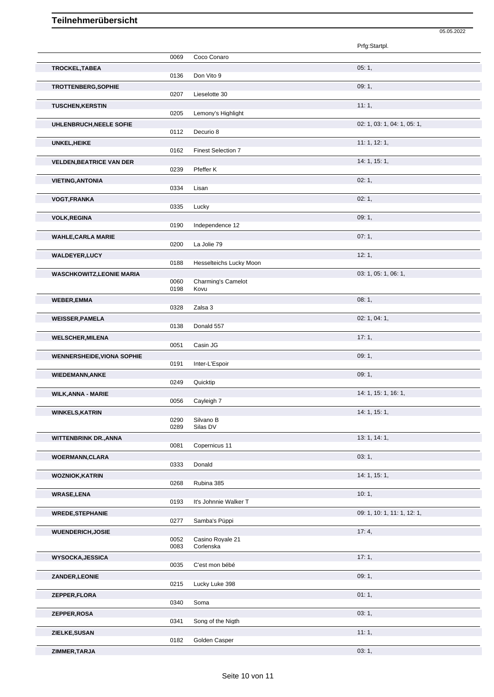|                                   |              |                               | Prfg:Startpl.               |
|-----------------------------------|--------------|-------------------------------|-----------------------------|
|                                   | 0069         | Coco Conaro                   |                             |
| TROCKEL, TABEA                    |              |                               | 05:1,                       |
|                                   | 0136         | Don Vito 9                    |                             |
| TROTTENBERG, SOPHIE               |              |                               | 09:1,                       |
|                                   | 0207         | Lieselotte 30                 |                             |
| <b>TUSCHEN, KERSTIN</b>           |              |                               | 11:1,                       |
|                                   | 0205         | Lemony's Highlight            |                             |
| UHLENBRUCH, NEELE SOFIE           |              |                               | 02: 1, 03: 1, 04: 1, 05: 1, |
|                                   | 0112         | Decurio 8                     |                             |
| UNKEL, HEIKE                      |              |                               | 11:1, 12:1,                 |
|                                   | 0162         | <b>Finest Selection 7</b>     |                             |
| <b>VELDEN, BEATRICE VAN DER</b>   |              |                               | 14: 1, 15: 1,               |
|                                   | 0239         | Pfeffer K                     |                             |
| <b>VIETING, ANTONIA</b>           |              |                               | 02:1,                       |
|                                   | 0334         | Lisan                         |                             |
| VOGT, FRANKA                      |              |                               | 02:1,                       |
|                                   | 0335         | Lucky                         |                             |
| <b>VOLK, REGINA</b>               |              |                               | 09:1,                       |
|                                   | 0190         | Independence 12               |                             |
| <b>WAHLE, CARLA MARIE</b>         |              |                               | 07:1,                       |
|                                   | 0200         | La Jolie 79                   |                             |
| <b>WALDEYER,LUCY</b>              |              |                               | 12:1,                       |
|                                   | 0188         | Hesselteichs Lucky Moon       |                             |
| <b>WASCHKOWITZ,LEONIE MARIA</b>   | 0060         | Charming's Camelot            | 03: 1, 05: 1, 06: 1,        |
|                                   | 0198         | Kovu                          |                             |
| <b>WEBER,EMMA</b>                 |              |                               | 08:1,                       |
|                                   | 0328         | Zalsa 3                       |                             |
| <b>WEISSER, PAMELA</b>            |              |                               | 02: 1, 04: 1,               |
|                                   | 0138         | Donald 557                    |                             |
| <b>WELSCHER, MILENA</b>           |              |                               | 17:1,                       |
|                                   | 0051         | Casin JG                      |                             |
| <b>WENNERSHEIDE, VIONA SOPHIE</b> |              |                               | 09:1,                       |
|                                   | 0191         | Inter-L'Espoir                |                             |
| <b>WIEDEMANN, ANKE</b>            |              |                               | 09:1,                       |
|                                   | 0249         | Quicktip                      |                             |
| <b>WILK, ANNA - MARIE</b>         |              |                               | 14: 1, 15: 1, 16: 1,        |
|                                   | 0056         | Cayleigh 7                    |                             |
| <b>WINKELS, KATRIN</b>            |              |                               | 14: 1, 15: 1,               |
|                                   | 0290         | Silvano B                     |                             |
|                                   | 0289         | Silas DV                      |                             |
| <b>WITTENBRINK DR., ANNA</b>      |              |                               | 13: 1, 14: 1,               |
|                                   | 0081         | Copernicus 11                 |                             |
| <b>WOERMANN, CLARA</b>            |              |                               | 03:1,                       |
|                                   | 0333         | Donald                        |                             |
| <b>WOZNIOK, KATRIN</b>            |              |                               | 14: 1, 15: 1,               |
|                                   | 0268         | Rubina 385                    |                             |
| <b>WRASE,LENA</b>                 |              |                               | 10:1,                       |
|                                   | 0193         | It's Johnnie Walker T         |                             |
| <b>WREDE, STEPHANIE</b>           |              |                               | 09: 1, 10: 1, 11: 1, 12: 1, |
|                                   | 0277         | Samba's Püppi                 |                             |
| <b>WUENDERICH, JOSIE</b>          |              |                               | 17:4,                       |
|                                   | 0052<br>0083 | Casino Royale 21<br>Corlenska |                             |
| <b>WYSOCKA, JESSICA</b>           |              |                               | 17:1,                       |
|                                   | 0035         | C'est mon bébé                |                             |
| ZANDER, LEONIE                    |              |                               | 09:1,                       |
|                                   | 0215         | Lucky Luke 398                |                             |
| ZEPPER, FLORA                     |              |                               | 01:1,                       |
|                                   | 0340         | Soma                          |                             |
| ZEPPER, ROSA                      |              |                               | 03:1,                       |
|                                   | 0341         | Song of the Nigth             |                             |
| ZIELKE, SUSAN                     |              |                               | 11:1,                       |
|                                   | 0182         | Golden Casper                 |                             |

05.05.2022

**ZIMMER,TARJA** 03: 1,